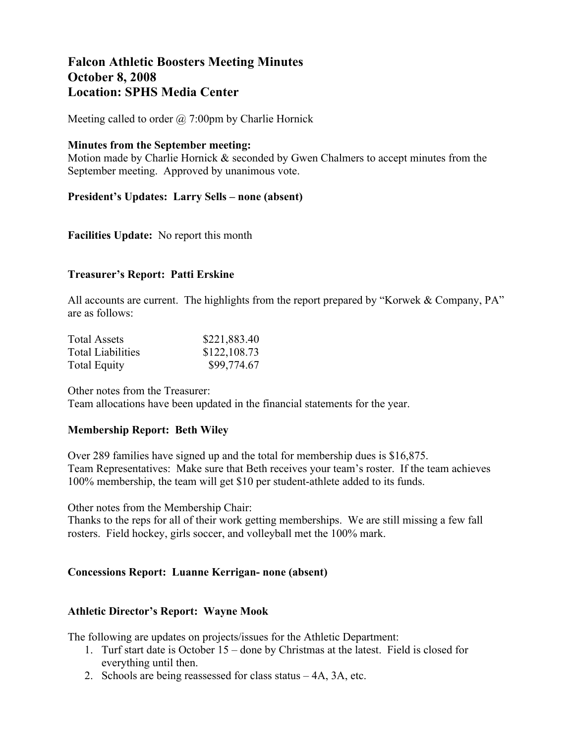# **Falcon Athletic Boosters Meeting Minutes October 8, 2008 Location: SPHS Media Center**

Meeting called to order  $\omega$  7:00pm by Charlie Hornick

#### **Minutes from the September meeting:**

Motion made by Charlie Hornick & seconded by Gwen Chalmers to accept minutes from the September meeting. Approved by unanimous vote.

#### **President's Updates: Larry Sells – none (absent)**

# **Facilities Update:** No report this month

# **Treasurer's Report: Patti Erskine**

All accounts are current. The highlights from the report prepared by "Korwek & Company, PA" are as follows:

| <b>Total Assets</b>      | \$221,883.40 |
|--------------------------|--------------|
| <b>Total Liabilities</b> | \$122,108.73 |
| <b>Total Equity</b>      | \$99,774.67  |

Other notes from the Treasurer: Team allocations have been updated in the financial statements for the year.

#### **Membership Report: Beth Wiley**

Over 289 families have signed up and the total for membership dues is \$16,875. Team Representatives: Make sure that Beth receives your team's roster. If the team achieves 100% membership, the team will get \$10 per student-athlete added to its funds.

Other notes from the Membership Chair:

Thanks to the reps for all of their work getting memberships. We are still missing a few fall rosters. Field hockey, girls soccer, and volleyball met the 100% mark.

#### **Concessions Report: Luanne Kerrigan- none (absent)**

#### **Athletic Director's Report: Wayne Mook**

The following are updates on projects/issues for the Athletic Department:

- 1. Turf start date is October 15 done by Christmas at the latest. Field is closed for everything until then.
- 2. Schools are being reassessed for class status 4A, 3A, etc.